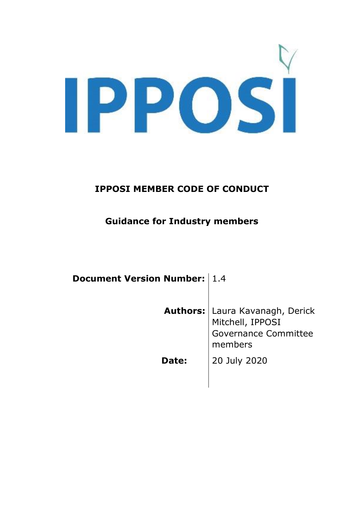IPPOSI

## **IPPOSI MEMBER CODE OF CONDUCT**

## **Guidance for Industry members**

| <b>Document Version Number: 1.4</b> |                                                                                                        |
|-------------------------------------|--------------------------------------------------------------------------------------------------------|
|                                     | <b>Authors:</b>   Laura Kavanagh, Derick<br>Mitchell, IPPOSI<br><b>Governance Committee</b><br>members |
| Date:                               | 20 July 2020                                                                                           |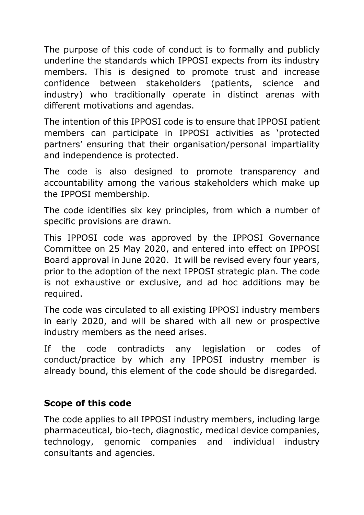The purpose of this code of conduct is to formally and publicly underline the standards which IPPOSI expects from its industry members. This is designed to promote trust and increase confidence between stakeholders (patients, science and industry) who traditionally operate in distinct arenas with different motivations and agendas.

The intention of this IPPOSI code is to ensure that IPPOSI patient members can participate in IPPOSI activities as 'protected partners' ensuring that their organisation/personal impartiality and independence is protected.

The code is also designed to promote transparency and accountability among the various stakeholders which make up the IPPOSI membership.

The code identifies six key principles, from which a number of specific provisions are drawn.

This IPPOSI code was approved by the IPPOSI Governance Committee on 25 May 2020, and entered into effect on IPPOSI Board approval in June 2020. It will be revised every four years, prior to the adoption of the next IPPOSI strategic plan. The code is not exhaustive or exclusive, and ad hoc additions may be required.

The code was circulated to all existing IPPOSI industry members in early 2020, and will be shared with all new or prospective industry members as the need arises.

If the code contradicts any legislation or codes of conduct/practice by which any IPPOSI industry member is already bound, this element of the code should be disregarded.

### **Scope of this code**

The code applies to all IPPOSI industry members, including large pharmaceutical, bio-tech, diagnostic, medical device companies, technology, genomic companies and individual industry consultants and agencies.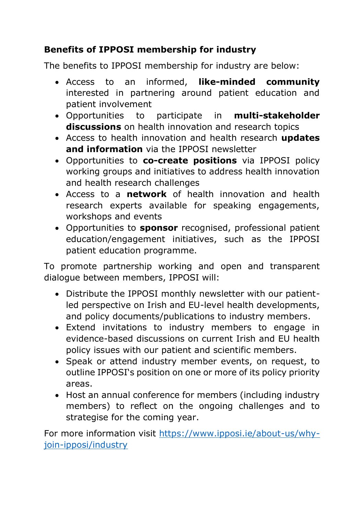# **Benefits of IPPOSI membership for industry**

The benefits to IPPOSI membership for industry are below:

- Access to an informed, **like-minded community** interested in partnering around patient education and patient involvement
- Opportunities to participate in **multi-stakeholder discussions** on health innovation and research topics
- Access to health innovation and health research **updates and information** via the IPPOSI newsletter
- Opportunities to **co-create positions** via IPPOSI policy working groups and initiatives to address health innovation and health research challenges
- Access to a **network** of health innovation and health research experts available for speaking engagements, workshops and events
- Opportunities to **sponsor** recognised, professional patient education/engagement initiatives, such as the IPPOSI patient education programme.

To promote partnership working and open and transparent dialogue between members, IPPOSI will:

- Distribute the IPPOSI monthly newsletter with our patientled perspective on Irish and EU-level health developments, and policy documents/publications to industry members.
- Extend invitations to industry members to engage in evidence-based discussions on current Irish and EU health policy issues with our patient and scientific members.
- Speak or attend industry member events, on request, to outline IPPOSI's position on one or more of its policy priority areas.
- Host an annual conference for members (including industry members) to reflect on the ongoing challenges and to strategise for the coming year.

For more information visit https://www.ipposi.ie/about-us/whyjoin-ipposi/industry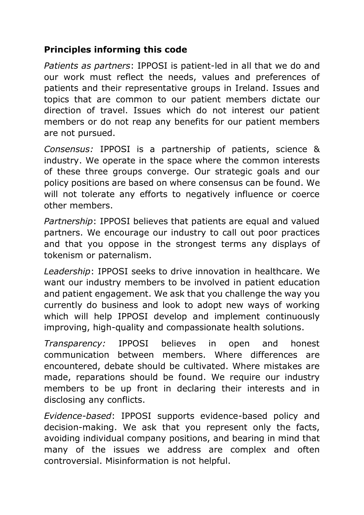### **Principles informing this code**

*Patients as partners*: IPPOSI is patient-led in all that we do and our work must reflect the needs, values and preferences of patients and their representative groups in Ireland. Issues and topics that are common to our patient members dictate our direction of travel. Issues which do not interest our patient members or do not reap any benefits for our patient members are not pursued.

*Consensus:* IPPOSI is a partnership of patients, science & industry. We operate in the space where the common interests of these three groups converge. Our strategic goals and our policy positions are based on where consensus can be found. We will not tolerate any efforts to negatively influence or coerce other members.

*Partnership*: IPPOSI believes that patients are equal and valued partners. We encourage our industry to call out poor practices and that you oppose in the strongest terms any displays of tokenism or paternalism.

*Leadership*: IPPOSI seeks to drive innovation in healthcare. We want our industry members to be involved in patient education and patient engagement. We ask that you challenge the way you currently do business and look to adopt new ways of working which will help IPPOSI develop and implement continuously improving, high-quality and compassionate health solutions.

*Transparency:* IPPOSI believes in open and honest communication between members. Where differences are encountered, debate should be cultivated. Where mistakes are made, reparations should be found. We require our industry members to be up front in declaring their interests and in disclosing any conflicts.

*Evidence-based*: IPPOSI supports evidence-based policy and decision-making. We ask that you represent only the facts, avoiding individual company positions, and bearing in mind that many of the issues we address are complex and often controversial. Misinformation is not helpful.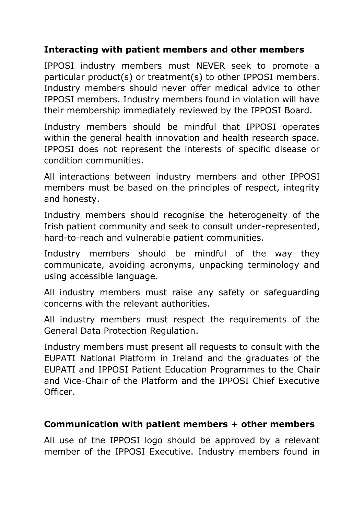### **Interacting with patient members and other members**

IPPOSI industry members must NEVER seek to promote a particular product(s) or treatment(s) to other IPPOSI members. Industry members should never offer medical advice to other IPPOSI members. Industry members found in violation will have their membership immediately reviewed by the IPPOSI Board.

Industry members should be mindful that IPPOSI operates within the general health innovation and health research space. IPPOSI does not represent the interests of specific disease or condition communities.

All interactions between industry members and other IPPOSI members must be based on the principles of respect, integrity and honesty.

Industry members should recognise the heterogeneity of the Irish patient community and seek to consult under-represented, hard-to-reach and vulnerable patient communities.

Industry members should be mindful of the way they communicate, avoiding acronyms, unpacking terminology and using accessible language.

All industry members must raise any safety or safeguarding concerns with the relevant authorities.

All industry members must respect the requirements of the General Data Protection Regulation.

Industry members must present all requests to consult with the EUPATI National Platform in Ireland and the graduates of the EUPATI and IPPOSI Patient Education Programmes to the Chair and Vice-Chair of the Platform and the IPPOSI Chief Executive Officer.

#### **Communication with patient members + other members**

All use of the IPPOSI logo should be approved by a relevant member of the IPPOSI Executive. Industry members found in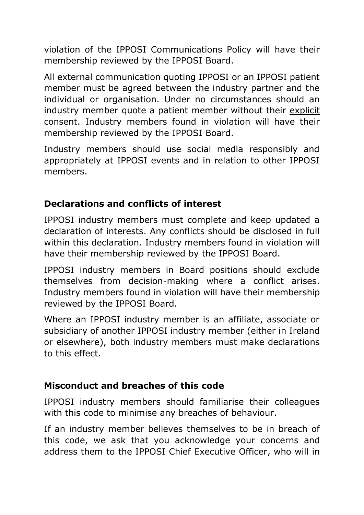violation of the IPPOSI Communications Policy will have their membership reviewed by the IPPOSI Board.

All external communication quoting IPPOSI or an IPPOSI patient member must be agreed between the industry partner and the individual or organisation. Under no circumstances should an industry member quote a patient member without their explicit consent. Industry members found in violation will have their membership reviewed by the IPPOSI Board.

Industry members should use social media responsibly and appropriately at IPPOSI events and in relation to other IPPOSI members.

## **Declarations and conflicts of interest**

IPPOSI industry members must complete and keep updated a declaration of interests. Any conflicts should be disclosed in full within this declaration. Industry members found in violation will have their membership reviewed by the IPPOSI Board.

IPPOSI industry members in Board positions should exclude themselves from decision-making where a conflict arises. Industry members found in violation will have their membership reviewed by the IPPOSI Board.

Where an IPPOSI industry member is an affiliate, associate or subsidiary of another IPPOSI industry member (either in Ireland or elsewhere), both industry members must make declarations to this effect.

## **Misconduct and breaches of this code**

IPPOSI industry members should familiarise their colleagues with this code to minimise any breaches of behaviour.

If an industry member believes themselves to be in breach of this code, we ask that you acknowledge your concerns and address them to the IPPOSI Chief Executive Officer, who will in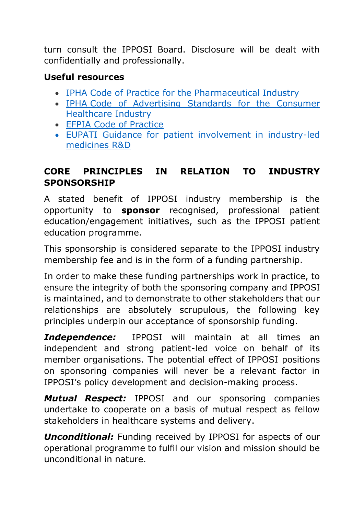turn consult the IPPOSI Board. Disclosure will be dealt with confidentially and professionally.

### **Useful resources**

- IPHA Code of Practice for the [Pharmaceutical](https://www.ipha.ie/getattachment/About-Us/Our-Role/Codes-of-Practice/IPHA-Code-of-Practice-for-the-Pharma-Industry_V8-4_effective-01-02-19.pdf.aspx) Industry
- IPHA Code of [Advertising](https://www.ipha.ie/getattachment/About-Us/Our-Role/Codes-of-Practice/IPHA-Code-of-Standards-Version-5-2-July-2017-(2).pdf.aspx) Standards for the Consumer [Healthcare](https://www.ipha.ie/getattachment/About-Us/Our-Role/Codes-of-Practice/IPHA-Code-of-Standards-Version-5-2-July-2017-(2).pdf.aspx) Industry
- [EFPIA Code of Practice](https://www.efpia.eu/media/413022/efpia-code-2019.pdf)
- EUPATI [Guidance](https://www.eupati.eu/patient-involvement/guidance-for-patient-involvement-in-industry-led-medicines-rd/) for patient involvement in industry-led medicines R&D

### **CORE PRINCIPLES IN RELATION TO INDUSTRY SPONSORSHIP**

A stated benefit of IPPOSI industry membership is the opportunity to **sponsor** recognised, professional patient education/engagement initiatives, such as the IPPOSI patient education programme.

This sponsorship is considered separate to the IPPOSI industry membership fee and is in the form of a funding partnership.

In order to make these funding partnerships work in practice, to ensure the integrity of both the sponsoring company and IPPOSI is maintained, and to demonstrate to other stakeholders that our relationships are absolutely scrupulous, the following key principles underpin our acceptance of sponsorship funding.

*Independence:* IPPOSI will maintain at all times an independent and strong patient-led voice on behalf of its member organisations. The potential effect of IPPOSI positions on sponsoring companies will never be a relevant factor in IPPOSI's policy development and decision-making process.

*Mutual Respect:* IPPOSI and our sponsoring companies undertake to cooperate on a basis of mutual respect as fellow stakeholders in healthcare systems and delivery.

*Unconditional:* Funding received by IPPOSI for aspects of our operational programme to fulfil our vision and mission should be unconditional in nature.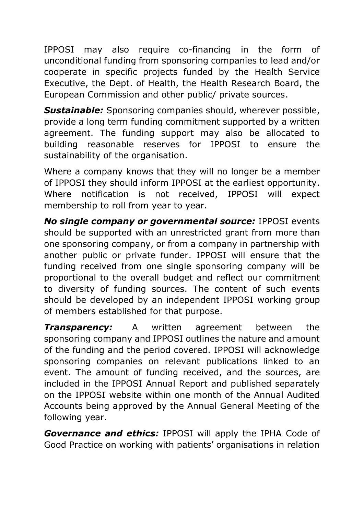IPPOSI may also require co-financing in the form of unconditional funding from sponsoring companies to lead and/or cooperate in specific projects funded by the Health Service Executive, the Dept. of Health, the Health Research Board, the European Commission and other public/ private sources.

*Sustainable:* Sponsoring companies should, wherever possible, provide a long term funding commitment supported by a written agreement. The funding support may also be allocated to building reasonable reserves for IPPOSI to ensure the sustainability of the organisation.

Where a company knows that they will no longer be a member of IPPOSI they should inform IPPOSI at the earliest opportunity. Where notification is not received, IPPOSI will expect membership to roll from year to year.

*No single company or governmental source:* IPPOSI events should be supported with an unrestricted grant from more than one sponsoring company, or from a company in partnership with another public or private funder. IPPOSI will ensure that the funding received from one single sponsoring company will be proportional to the overall budget and reflect our commitment to diversity of funding sources. The content of such events should be developed by an independent IPPOSI working group of members established for that purpose.

*Transparency:* A written agreement between the sponsoring company and IPPOSI outlines the nature and amount of the funding and the period covered. IPPOSI will acknowledge sponsoring companies on relevant publications linked to an event. The amount of funding received, and the sources, are included in the IPPOSI Annual Report and published separately on the IPPOSI website within one month of the Annual Audited Accounts being approved by the Annual General Meeting of the following year.

*Governance and ethics:* IPPOSI will apply the IPHA Code of Good Practice on working with patients' organisations in relation